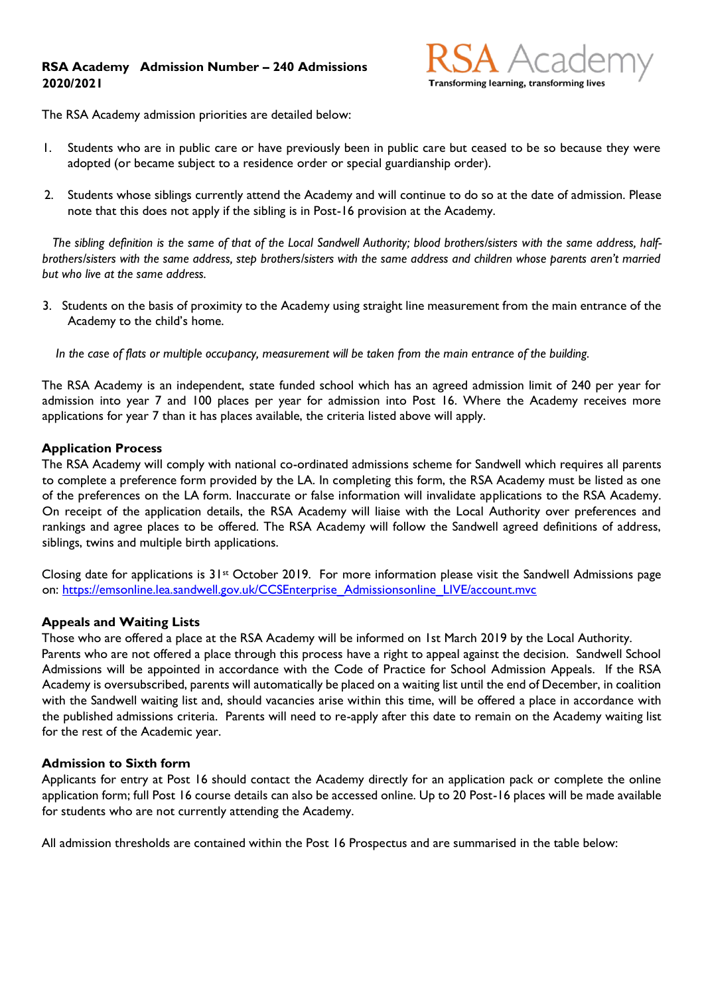## **RSA Academy Admission Number – 240 Admissions 2020/2021**



The RSA Academy admission priorities are detailed below:

- 1. Students who are in public care or have previously been in public care but ceased to be so because they were adopted (or became subject to a residence order or special guardianship order).
- 2. Students whose siblings currently attend the Academy and will continue to do so at the date of admission. Please note that this does not apply if the sibling is in Post-16 provision at the Academy.

 *The sibling definition is the same of that of the Local Sandwell Authority; blood brothers/sisters with the same address, halfbrothers/sisters with the same address, step brothers/sisters with the same address and children whose parents aren't married but who live at the same address.* 

3. Students on the basis of proximity to the Academy using straight line measurement from the main entrance of the Academy to the child's home.

 *In the case of flats or multiple occupancy, measurement will be taken from the main entrance of the building.* 

The RSA Academy is an independent, state funded school which has an agreed admission limit of 240 per year for admission into year 7 and 100 places per year for admission into Post 16. Where the Academy receives more applications for year 7 than it has places available, the criteria listed above will apply.

## **Application Process**

The RSA Academy will comply with national co-ordinated admissions scheme for Sandwell which requires all parents to complete a preference form provided by the LA. In completing this form, the RSA Academy must be listed as one of the preferences on the LA form. Inaccurate or false information will invalidate applications to the RSA Academy. On receipt of the application details, the RSA Academy will liaise with the Local Authority over preferences and rankings and agree places to be offered. The RSA Academy will follow the Sandwell agreed definitions of address, siblings, twins and multiple birth applications.

Closing date for applications is 31st October 2019. For more information please visit the Sandwell Admissions page on: [https://emsonline.lea.sandwell.gov.uk/CCSEnterprise\\_Admissionsonline\\_LIVE/account.mvc](https://emsonline.lea.sandwell.gov.uk/CCSEnterprise_Admissionsonline_LIVE/account.mvc)

## **Appeals and Waiting Lists**

Those who are offered a place at the RSA Academy will be informed on 1st March 2019 by the Local Authority. Parents who are not offered a place through this process have a right to appeal against the decision. Sandwell School Admissions will be appointed in accordance with the Code of Practice for School Admission Appeals. If the RSA Academy is oversubscribed, parents will automatically be placed on a waiting list until the end of December, in coalition with the Sandwell waiting list and, should vacancies arise within this time, will be offered a place in accordance with the published admissions criteria. Parents will need to re-apply after this date to remain on the Academy waiting list for the rest of the Academic year.

## **Admission to Sixth form**

Applicants for entry at Post 16 should contact the Academy directly for an application pack or complete the online application form; full Post 16 course details can also be accessed online. Up to 20 Post-16 places will be made available for students who are not currently attending the Academy.

All admission thresholds are contained within the Post 16 Prospectus and are summarised in the table below: